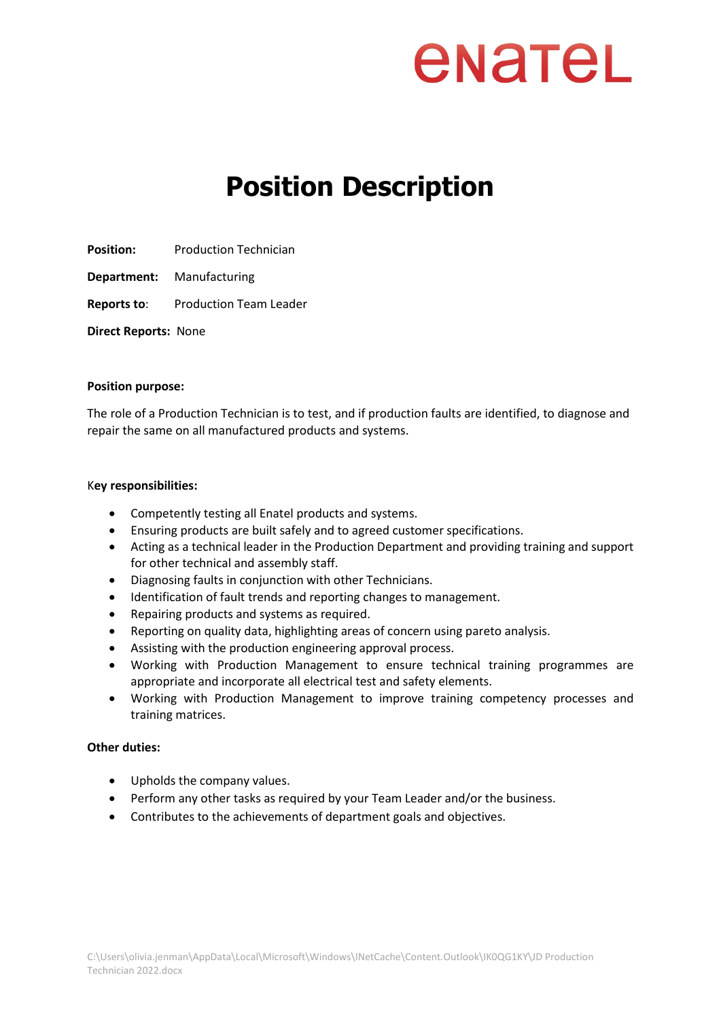### enatel

### **Position Description**

**Position:** Production Technician

**Department:** Manufacturing

**Reports to**: Production Team Leader

**Direct Reports:** None

### **Position purpose:**

The role of a Production Technician is to test, and if production faults are identified, to diagnose and repair the same on all manufactured products and systems.

### K**ey responsibilities:**

- Competently testing all Enatel products and systems.
- Ensuring products are built safely and to agreed customer specifications.
- Acting as a technical leader in the Production Department and providing training and support for other technical and assembly staff.
- Diagnosing faults in conjunction with other Technicians.
- Identification of fault trends and reporting changes to management.
- Repairing products and systems as required.
- Reporting on quality data, highlighting areas of concern using pareto analysis.
- Assisting with the production engineering approval process.
- Working with Production Management to ensure technical training programmes are appropriate and incorporate all electrical test and safety elements.
- Working with Production Management to improve training competency processes and training matrices.

### **Other duties:**

- Upholds the company values.
- Perform any other tasks as required by your Team Leader and/or the business.
- Contributes to the achievements of department goals and objectives.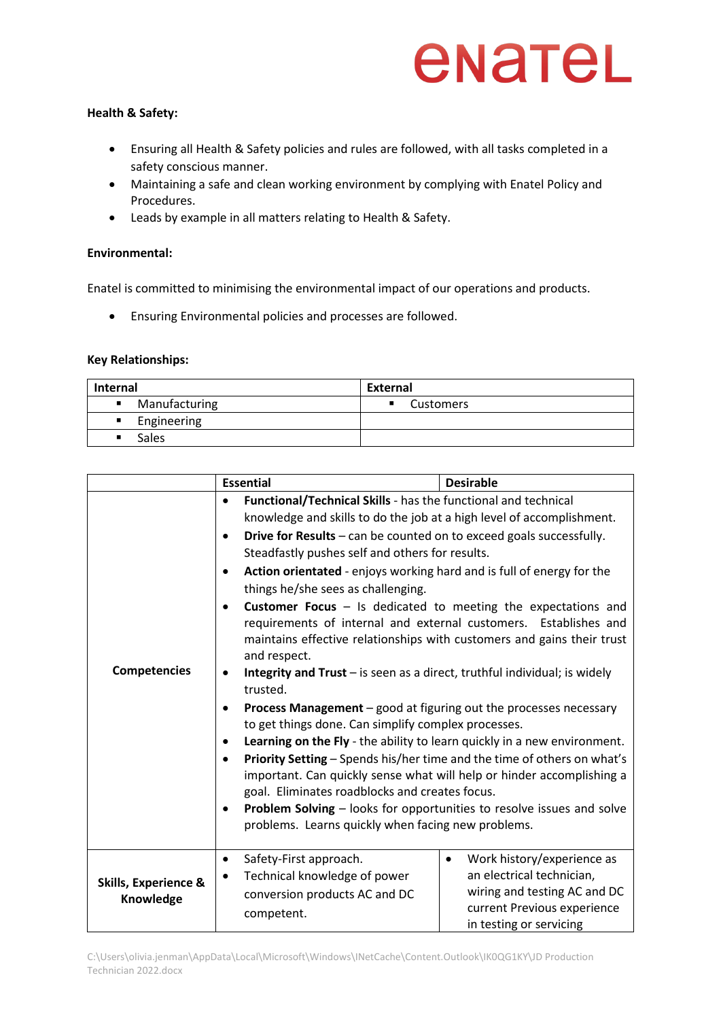## enatel

### **Health & Safety:**

- Ensuring all Health & Safety policies and rules are followed, with all tasks completed in a safety conscious manner.
- Maintaining a safe and clean working environment by complying with Enatel Policy and Procedures.
- Leads by example in all matters relating to Health & Safety.

### **Environmental:**

Enatel is committed to minimising the environmental impact of our operations and products.

• Ensuring Environmental policies and processes are followed.

### **Key Relationships:**

| <b>Internal</b>                 | External  |
|---------------------------------|-----------|
| Manufacturing<br>$\blacksquare$ | Customers |
| Engineering<br>$\blacksquare$   |           |
| <b>Sales</b><br>$\blacksquare$  |           |

|                                              | <b>Essential</b>                                                                                                                                                                                                                         | <b>Desirable</b>                                                                                                                                               |  |
|----------------------------------------------|------------------------------------------------------------------------------------------------------------------------------------------------------------------------------------------------------------------------------------------|----------------------------------------------------------------------------------------------------------------------------------------------------------------|--|
|                                              | Functional/Technical Skills - has the functional and technical<br>$\bullet$                                                                                                                                                              |                                                                                                                                                                |  |
|                                              | knowledge and skills to do the job at a high level of accomplishment.                                                                                                                                                                    |                                                                                                                                                                |  |
|                                              | Drive for Results - can be counted on to exceed goals successfully.<br>$\bullet$                                                                                                                                                         |                                                                                                                                                                |  |
|                                              | Steadfastly pushes self and others for results.                                                                                                                                                                                          |                                                                                                                                                                |  |
|                                              | Action orientated - enjoys working hard and is full of energy for the                                                                                                                                                                    |                                                                                                                                                                |  |
|                                              | things he/she sees as challenging.                                                                                                                                                                                                       |                                                                                                                                                                |  |
|                                              | Customer Focus - Is dedicated to meeting the expectations and<br>$\bullet$<br>requirements of internal and external customers. Establishes and<br>maintains effective relationships with customers and gains their trust<br>and respect. |                                                                                                                                                                |  |
| <b>Competencies</b>                          | Integrity and Trust - is seen as a direct, truthful individual; is widely<br>$\bullet$<br>trusted.                                                                                                                                       |                                                                                                                                                                |  |
|                                              | <b>Process Management</b> – good at figuring out the processes necessary<br>to get things done. Can simplify complex processes.                                                                                                          |                                                                                                                                                                |  |
|                                              | Learning on the Fly - the ability to learn quickly in a new environment.                                                                                                                                                                 |                                                                                                                                                                |  |
|                                              | Priority Setting - Spends his/her time and the time of others on what's<br>$\bullet$<br>important. Can quickly sense what will help or hinder accomplishing a<br>goal. Eliminates roadblocks and creates focus.                          |                                                                                                                                                                |  |
|                                              | Problem Solving - looks for opportunities to resolve issues and solve                                                                                                                                                                    |                                                                                                                                                                |  |
|                                              | problems. Learns quickly when facing new problems.                                                                                                                                                                                       |                                                                                                                                                                |  |
| <b>Skills, Experience &amp;</b><br>Knowledge | Safety-First approach.<br>$\bullet$<br>Technical knowledge of power<br>٠<br>conversion products AC and DC<br>competent.                                                                                                                  | Work history/experience as<br>$\bullet$<br>an electrical technician,<br>wiring and testing AC and DC<br>current Previous experience<br>in testing or servicing |  |